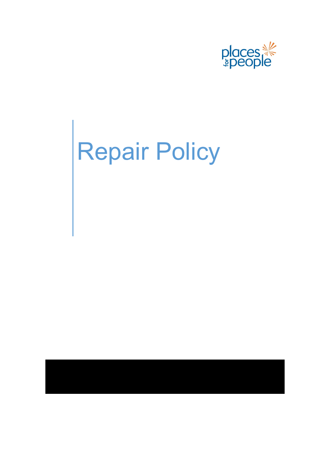

# Repair Policy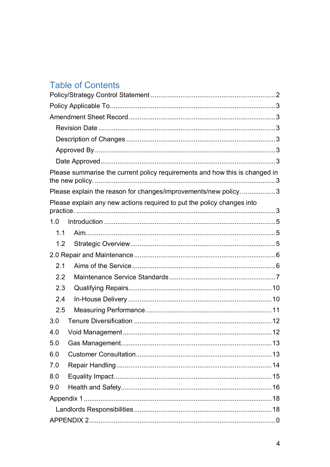# **Table of Contents**

| Please summarise the current policy requirements and how this is changed in |  |
|-----------------------------------------------------------------------------|--|
| Please explain the reason for changes/improvements/new policy3              |  |
| Please explain any new actions required to put the policy changes into      |  |
| 1.0                                                                         |  |
| 1.1                                                                         |  |
| 1.2                                                                         |  |
|                                                                             |  |
| 2.1                                                                         |  |
| 2.2                                                                         |  |
| 2.3                                                                         |  |
| 2.4                                                                         |  |
| 2.5                                                                         |  |
| 3.0                                                                         |  |
| 4.0                                                                         |  |
| 5.0                                                                         |  |
| 6.0                                                                         |  |
| 7.0                                                                         |  |
| 8.0                                                                         |  |
| 9.0                                                                         |  |
|                                                                             |  |
|                                                                             |  |
|                                                                             |  |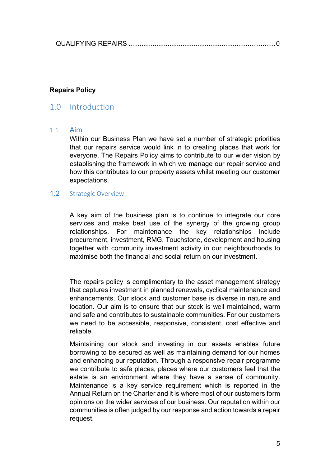|--|--|

#### **Repairs Policy**

# <span id="page-2-0"></span>1.0 Introduction

#### <span id="page-2-1"></span>1.1 Aim

Within our Business Plan we have set a number of strategic priorities that our repairs service would link in to creating places that work for everyone. The Repairs Policy aims to contribute to our wider vision by establishing the framework in which we manage our repair service and how this contributes to our property assets whilst meeting our customer expectations.

#### <span id="page-2-2"></span>1.2 Strategic Overview

A key aim of the business plan is to continue to integrate our core services and make best use of the synergy of the growing group relationships. For maintenance the key relationships include procurement, investment, RMG, Touchstone, development and housing together with community investment activity in our neighbourhoods to maximise both the financial and social return on our investment.

The repairs policy is complimentary to the asset management strategy that captures investment in planned renewals, cyclical maintenance and enhancements. Our stock and customer base is diverse in nature and location. Our aim is to ensure that our stock is well maintained, warm and safe and contributes to sustainable communities. For our customers we need to be accessible, responsive, consistent, cost effective and reliable.

Maintaining our stock and investing in our assets enables future borrowing to be secured as well as maintaining demand for our homes and enhancing our reputation. Through a responsive repair programme we contribute to safe places, places where our customers feel that the estate is an environment where they have a sense of community. Maintenance is a key service requirement which is reported in the Annual Return on the Charter and it is where most of our customers form opinions on the wider services of our business. Our reputation within our communities is often judged by our response and action towards a repair request.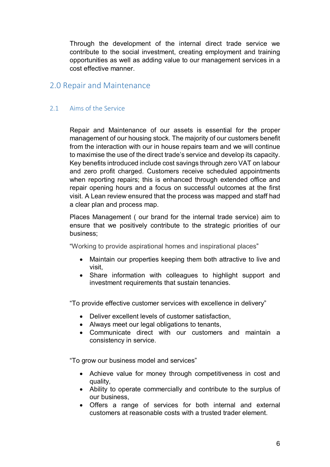Through the development of the internal direct trade service we contribute to the social investment, creating employment and training opportunities as well as adding value to our management services in a cost effective manner.

# <span id="page-3-0"></span>2.0 Repair and Maintenance

#### <span id="page-3-1"></span>2.1 Aims of the Service

Repair and Maintenance of our assets is essential for the proper management of our housing stock. The majority of our customers benefit from the interaction with our in house repairs team and we will continue to maximise the use of the direct trade's service and develop its capacity. Key benefits introduced include cost savings through zero VAT on labour and zero profit charged. Customers receive scheduled appointments when reporting repairs; this is enhanced through extended office and repair opening hours and a focus on successful outcomes at the first visit. A Lean review ensured that the process was mapped and staff had a clear plan and process map.

Places Management ( our brand for the internal trade service) aim to ensure that we positively contribute to the strategic priorities of our business;

"Working to provide aspirational homes and inspirational places"

- Maintain our properties keeping them both attractive to live and visit,
- Share information with colleagues to highlight support and investment requirements that sustain tenancies.

"To provide effective customer services with excellence in delivery"

- Deliver excellent levels of customer satisfaction,
- Always meet our legal obligations to tenants,
- Communicate direct with our customers and maintain a consistency in service.

"To grow our business model and services"

- Achieve value for money through competitiveness in cost and quality,
- Ability to operate commercially and contribute to the surplus of our business,
- Offers a range of services for both internal and external customers at reasonable costs with a trusted trader element.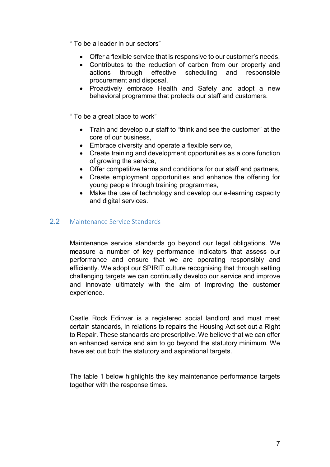- " To be a leader in our sectors"
	- Offer a flexible service that is responsive to our customer's needs,
	- Contributes to the reduction of carbon from our property and actions through effective scheduling and responsible procurement and disposal,
	- Proactively embrace Health and Safety and adopt a new behavioral programme that protects our staff and customers.

" To be a great place to work"

- Train and develop our staff to "think and see the customer" at the core of our business,
- Embrace diversity and operate a flexible service,
- Create training and development opportunities as a core function of growing the service,
- Offer competitive terms and conditions for our staff and partners,
- Create employment opportunities and enhance the offering for young people through training programmes,
- Make the use of technology and develop our e-learning capacity and digital services.

#### <span id="page-4-0"></span>2.2 Maintenance Service Standards

Maintenance service standards go beyond our legal obligations. We measure a number of key performance indicators that assess our performance and ensure that we are operating responsibly and efficiently. We adopt our SPIRIT culture recognising that through setting challenging targets we can continually develop our service and improve and innovate ultimately with the aim of improving the customer experience.

Castle Rock Edinvar is a registered social landlord and must meet certain standards, in relations to repairs the Housing Act set out a Right to Repair. These standards are prescriptive. We believe that we can offer an enhanced service and aim to go beyond the statutory minimum. We have set out both the statutory and aspirational targets.

The table 1 below highlights the key maintenance performance targets together with the response times.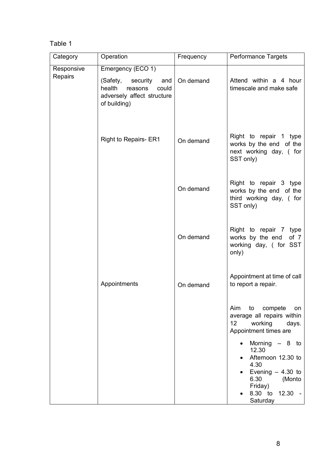# Table 1

| Category              | Operation                                                                                                                 | Frequency | Performance Targets                                                                                                                                   |
|-----------------------|---------------------------------------------------------------------------------------------------------------------------|-----------|-------------------------------------------------------------------------------------------------------------------------------------------------------|
| Responsive<br>Repairs | Emergency (ECO 1)<br>(Safety, security<br>and<br>health<br>reasons<br>could<br>adversely affect structure<br>of building) | On demand | Attend within a 4 hour<br>timescale and make safe                                                                                                     |
|                       | <b>Right to Repairs- ER1</b>                                                                                              | On demand | Right to repair 1 type<br>works by the end of the<br>next working day, (for<br>SST only)                                                              |
|                       |                                                                                                                           | On demand | Right to repair 3 type<br>works by the end of the<br>third working day, (for<br>SST only)                                                             |
|                       |                                                                                                                           | On demand | Right to repair 7 type<br>works by the end<br>of $7$<br>working day, (for SST<br>only)                                                                |
|                       | Appointments                                                                                                              | On demand | Appointment at time of call<br>to report a repair.                                                                                                    |
|                       |                                                                                                                           |           | Aim<br>to<br>compete<br>on<br>average all repairs within<br>12 <sup>2</sup><br>working<br>days.<br>Appointment times are                              |
|                       |                                                                                                                           |           | Morning $-8$ to<br>$\bullet$<br>12.30<br>Afternoon 12.30 to<br>4.30<br>Evening $-4.30$ to<br>6.30<br>(Monto<br>Friday)<br>8.30 to 12.30 -<br>Saturday |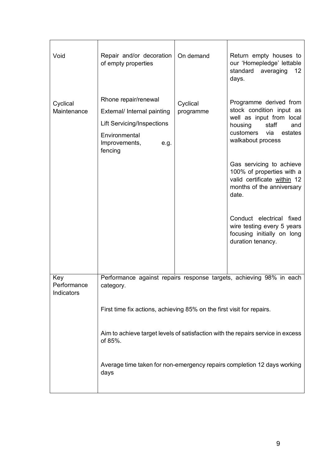| Void                             | Repair and/or decoration<br>of empty properties                                                                                                                                                                                                        | On demand             | Return empty houses to<br>our 'Homepledge' lettable<br>standard<br>averaging<br>12<br>days.                                                                                                                                                           |
|----------------------------------|--------------------------------------------------------------------------------------------------------------------------------------------------------------------------------------------------------------------------------------------------------|-----------------------|-------------------------------------------------------------------------------------------------------------------------------------------------------------------------------------------------------------------------------------------------------|
| Cyclical<br>Maintenance          | Rhone repair/renewal<br>External/ Internal painting<br><b>Lift Servicing/Inspections</b><br>Environmental<br>Improvements,<br>e.g.<br>fencing                                                                                                          | Cyclical<br>programme | Programme derived from<br>stock condition input as<br>well as input from local<br>staff<br>housing<br>and<br>via<br>customers<br>estates<br>walkabout process<br>Gas servicing to achieve<br>100% of properties with a<br>valid certificate within 12 |
|                                  |                                                                                                                                                                                                                                                        |                       | months of the anniversary<br>date.<br>Conduct electrical fixed<br>wire testing every 5 years<br>focusing initially on long<br>duration tenancy.                                                                                                       |
| Key<br>Performance<br>Indicators | Performance against repairs response targets, achieving 98% in each<br>category.                                                                                                                                                                       |                       |                                                                                                                                                                                                                                                       |
|                                  | First time fix actions, achieving 85% on the first visit for repairs.<br>Aim to achieve target levels of satisfaction with the repairs service in excess<br>of 85%.<br>Average time taken for non-emergency repairs completion 12 days working<br>days |                       |                                                                                                                                                                                                                                                       |
|                                  |                                                                                                                                                                                                                                                        |                       |                                                                                                                                                                                                                                                       |
|                                  |                                                                                                                                                                                                                                                        |                       |                                                                                                                                                                                                                                                       |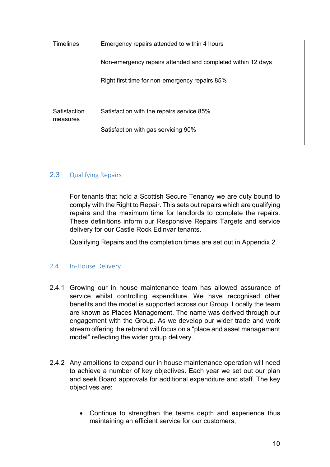| Emergency repairs attended to within 4 hours                |
|-------------------------------------------------------------|
| Non-emergency repairs attended and completed within 12 days |
| Right first time for non-emergency repairs 85%              |
|                                                             |
| Satisfaction with the repairs service 85%                   |
| Satisfaction with gas servicing 90%                         |
|                                                             |

#### <span id="page-7-0"></span>2.3 Qualifying Repairs

For tenants that hold a Scottish Secure Tenancy we are duty bound to comply with the Right to Repair. This sets out repairs which are qualifying repairs and the maximum time for landlords to complete the repairs. These definitions inform our Responsive Repairs Targets and service delivery for our Castle Rock Edinvar tenants.

Qualifying Repairs and the completion times are set out in Appendix 2.

#### <span id="page-7-1"></span>2.4 In-House Delivery

- 2.4.1 Growing our in house maintenance team has allowed assurance of service whilst controlling expenditure. We have recognised other benefits and the model is supported across our Group. Locally the team are known as Places Management. The name was derived through our engagement with the Group. As we develop our wider trade and work stream offering the rebrand will focus on a "place and asset management model" reflecting the wider group delivery.
- 2.4.2 Any ambitions to expand our in house maintenance operation will need to achieve a number of key objectives. Each year we set out our plan and seek Board approvals for additional expenditure and staff. The key objectives are:
	- Continue to strengthen the teams depth and experience thus maintaining an efficient service for our customers,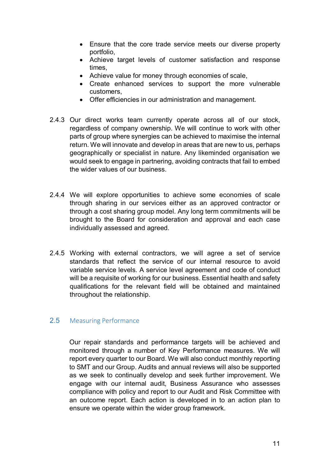- Ensure that the core trade service meets our diverse property portfolio,
- Achieve target levels of customer satisfaction and response times,
- Achieve value for money through economies of scale,
- Create enhanced services to support the more vulnerable customers,
- Offer efficiencies in our administration and management.
- 2.4.3 Our direct works team currently operate across all of our stock, regardless of company ownership. We will continue to work with other parts of group where synergies can be achieved to maximise the internal return. We will innovate and develop in areas that are new to us, perhaps geographically or specialist in nature. Any likeminded organisation we would seek to engage in partnering, avoiding contracts that fail to embed the wider values of our business.
- 2.4.4 We will explore opportunities to achieve some economies of scale through sharing in our services either as an approved contractor or through a cost sharing group model. Any long term commitments will be brought to the Board for consideration and approval and each case individually assessed and agreed.
- 2.4.5 Working with external contractors, we will agree a set of service standards that reflect the service of our internal resource to avoid variable service levels. A service level agreement and code of conduct will be a requisite of working for our business. Essential health and safety qualifications for the relevant field will be obtained and maintained throughout the relationship.

### <span id="page-8-0"></span>2.5 Measuring Performance

Our repair standards and performance targets will be achieved and monitored through a number of Key Performance measures. We will report every quarter to our Board. We will also conduct monthly reporting to SMT and our Group. Audits and annual reviews will also be supported as we seek to continually develop and seek further improvement. We engage with our internal audit, Business Assurance who assesses compliance with policy and report to our Audit and Risk Committee with an outcome report. Each action is developed in to an action plan to ensure we operate within the wider group framework.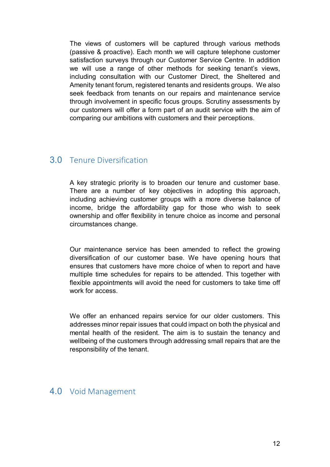The views of customers will be captured through various methods (passive & proactive). Each month we will capture telephone customer satisfaction surveys through our Customer Service Centre. In addition we will use a range of other methods for seeking tenant's views, including consultation with our Customer Direct, the Sheltered and Amenity tenant forum, registered tenants and residents groups. We also seek feedback from tenants on our repairs and maintenance service through involvement in specific focus groups. Scrutiny assessments by our customers will offer a form part of an audit service with the aim of comparing our ambitions with customers and their perceptions.

# <span id="page-9-0"></span>3.0 Tenure Diversification

A key strategic priority is to broaden our tenure and customer base. There are a number of key objectives in adopting this approach, including achieving customer groups with a more diverse balance of income, bridge the affordability gap for those who wish to seek ownership and offer flexibility in tenure choice as income and personal circumstances change.

Our maintenance service has been amended to reflect the growing diversification of our customer base. We have opening hours that ensures that customers have more choice of when to report and have multiple time schedules for repairs to be attended. This together with flexible appointments will avoid the need for customers to take time off work for access.

We offer an enhanced repairs service for our older customers. This addresses minor repair issues that could impact on both the physical and mental health of the resident. The aim is to sustain the tenancy and wellbeing of the customers through addressing small repairs that are the responsibility of the tenant.

# <span id="page-9-1"></span>4.0 Void Management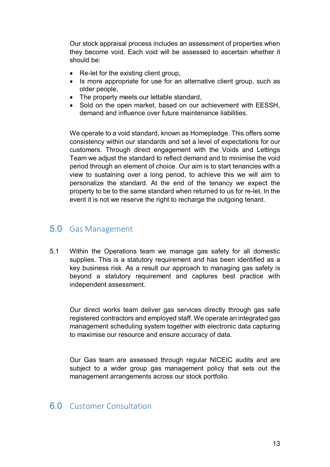Our stock appraisal process includes an assessment of properties when they become void. Each void will be assessed to ascertain whether it should be:

- Re-let for the existing client group,
- Is more appropriate for use for an alternative client group, such as older people,
- The property meets our lettable standard,
- Sold on the open market, based on our achievement with EESSH, demand and influence over future maintenance liabilities.

We operate to a void standard, known as Homepledge. This offers some consistency within our standards and set a level of expectations for our customers. Through direct engagement with the Voids and Lettings Team we adjust the standard to reflect demand and to minimise the void period through an element of choice. Our aim is to start tenancies with a view to sustaining over a long period, to achieve this we will aim to personalize the standard. At the end of the tenancy we expect the property to be to the same standard when returned to us for re-let. In the event it is not we reserve the right to recharge the outgoing tenant.

# <span id="page-10-0"></span>5.0 Gas Management

5.1 Within the Operations team we manage gas safety for all domestic supplies. This is a statutory requirement and has been identified as a key business risk. As a result our approach to managing gas safety is beyond a statutory requirement and captures best practice with independent assessment.

Our direct works team deliver gas services directly through gas safe registered contractors and employed staff. We operate an integrated gas management scheduling system together with electronic data capturing to maximise our resource and ensure accuracy of data.

Our Gas team are assessed through regular NICEIC audits and are subject to a wider group gas management policy that sets out the management arrangements across our stock portfolio.

# <span id="page-10-1"></span>6.0 Customer Consultation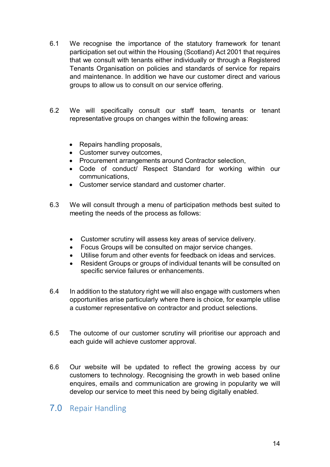- 6.1 We recognise the importance of the statutory framework for tenant participation set out within the Housing (Scotland) Act 2001 that requires that we consult with tenants either individually or through a Registered Tenants Organisation on policies and standards of service for repairs and maintenance. In addition we have our customer direct and various groups to allow us to consult on our service offering.
- 6.2 We will specifically consult our staff team, tenants or tenant representative groups on changes within the following areas:
	- Repairs handling proposals,
	- Customer survey outcomes,
	- Procurement arrangements around Contractor selection,
	- Code of conduct/ Respect Standard for working within our communications,
	- Customer service standard and customer charter.
- 6.3 We will consult through a menu of participation methods best suited to meeting the needs of the process as follows:
	- Customer scrutiny will assess key areas of service delivery.
	- Focus Groups will be consulted on major service changes.
	- Utilise forum and other events for feedback on ideas and services.
	- Resident Groups or groups of individual tenants will be consulted on specific service failures or enhancements.
- 6.4 In addition to the statutory right we will also engage with customers when opportunities arise particularly where there is choice, for example utilise a customer representative on contractor and product selections.
- 6.5 The outcome of our customer scrutiny will prioritise our approach and each guide will achieve customer approval.
- 6.6 Our website will be updated to reflect the growing access by our customers to technology. Recognising the growth in web based online enquires, emails and communication are growing in popularity we will develop our service to meet this need by being digitally enabled.

# <span id="page-11-0"></span>7.0 Repair Handling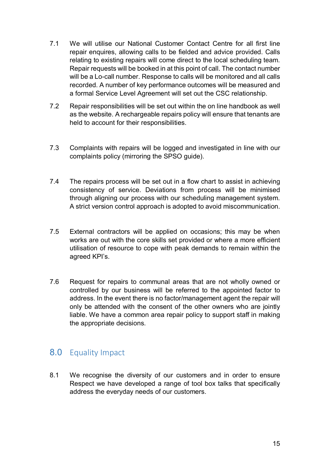- 7.1 We will utilise our National Customer Contact Centre for all first line repair enquires, allowing calls to be fielded and advice provided. Calls relating to existing repairs will come direct to the local scheduling team. Repair requests will be booked in at this point of call. The contact number will be a Lo-call number. Response to calls will be monitored and all calls recorded. A number of key performance outcomes will be measured and a formal Service Level Agreement will set out the CSC relationship.
- 7.2 Repair responsibilities will be set out within the on line handbook as well as the website. A rechargeable repairs policy will ensure that tenants are held to account for their responsibilities.
- 7.3 Complaints with repairs will be logged and investigated in line with our complaints policy (mirroring the SPSO guide).
- 7.4 The repairs process will be set out in a flow chart to assist in achieving consistency of service. Deviations from process will be minimised through aligning our process with our scheduling management system. A strict version control approach is adopted to avoid miscommunication.
- 7.5 External contractors will be applied on occasions; this may be when works are out with the core skills set provided or where a more efficient utilisation of resource to cope with peak demands to remain within the agreed KPI's.
- 7.6 Request for repairs to communal areas that are not wholly owned or controlled by our business will be referred to the appointed factor to address. In the event there is no factor/management agent the repair will only be attended with the consent of the other owners who are jointly liable. We have a common area repair policy to support staff in making the appropriate decisions.

# <span id="page-12-0"></span>8.0 Equality Impact

8.1 We recognise the diversity of our customers and in order to ensure Respect we have developed a range of tool box talks that specifically address the everyday needs of our customers.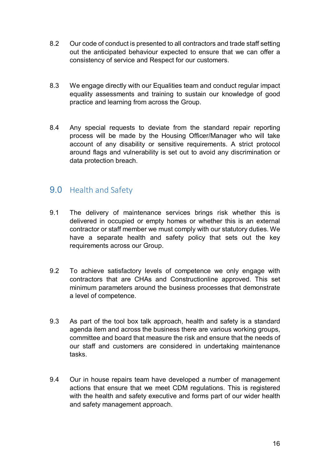- 8.2 Our code of conduct is presented to all contractors and trade staff setting out the anticipated behaviour expected to ensure that we can offer a consistency of service and Respect for our customers.
- 8.3 We engage directly with our Equalities team and conduct regular impact equality assessments and training to sustain our knowledge of good practice and learning from across the Group.
- 8.4 Any special requests to deviate from the standard repair reporting process will be made by the Housing Officer/Manager who will take account of any disability or sensitive requirements. A strict protocol around flags and vulnerability is set out to avoid any discrimination or data protection breach.

# <span id="page-13-0"></span>9.0 Health and Safety

- 9.1 The delivery of maintenance services brings risk whether this is delivered in occupied or empty homes or whether this is an external contractor or staff member we must comply with our statutory duties. We have a separate health and safety policy that sets out the key requirements across our Group.
- 9.2 To achieve satisfactory levels of competence we only engage with contractors that are CHAs and Constructionline approved. This set minimum parameters around the business processes that demonstrate a level of competence.
- 9.3 As part of the tool box talk approach, health and safety is a standard agenda item and across the business there are various working groups, committee and board that measure the risk and ensure that the needs of our staff and customers are considered in undertaking maintenance tasks.
- 9.4 Our in house repairs team have developed a number of management actions that ensure that we meet CDM regulations. This is registered with the health and safety executive and forms part of our wider health and safety management approach.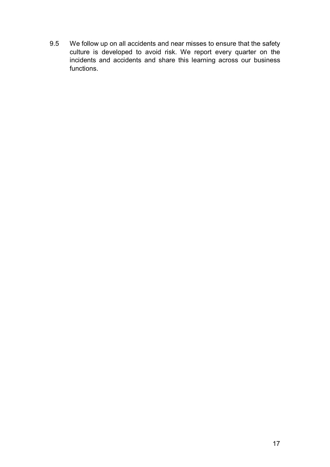9.5 We follow up on all accidents and near misses to ensure that the safety culture is developed to avoid risk. We report every quarter on the incidents and accidents and share this learning across our business functions.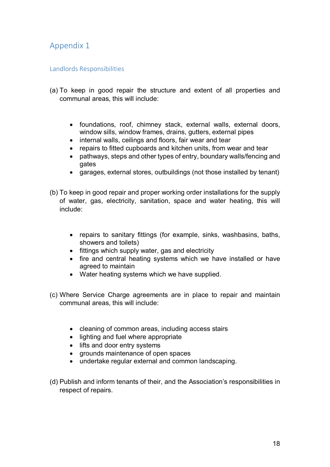# <span id="page-15-0"></span>Appendix 1

#### <span id="page-15-1"></span>Landlords Responsibilities

- (a) To keep in good repair the structure and extent of all properties and communal areas, this will include:
	- foundations, roof, chimney stack, external walls, external doors, window sills, window frames, drains, gutters, external pipes
	- internal walls, ceilings and floors, fair wear and tear
	- repairs to fitted cupboards and kitchen units, from wear and tear
	- pathways, steps and other types of entry, boundary walls/fencing and gates
	- garages, external stores, outbuildings (not those installed by tenant)
- (b) To keep in good repair and proper working order installations for the supply of water, gas, electricity, sanitation, space and water heating, this will include:
	- repairs to sanitary fittings (for example, sinks, washbasins, baths, showers and toilets)
	- fittings which supply water, gas and electricity
	- fire and central heating systems which we have installed or have agreed to maintain
	- Water heating systems which we have supplied.
- (c) Where Service Charge agreements are in place to repair and maintain communal areas, this will include:
	- cleaning of common areas, including access stairs
	- lighting and fuel where appropriate
	- lifts and door entry systems
	- grounds maintenance of open spaces
	- undertake regular external and common landscaping.
- (d) Publish and inform tenants of their, and the Association's responsibilities in respect of repairs.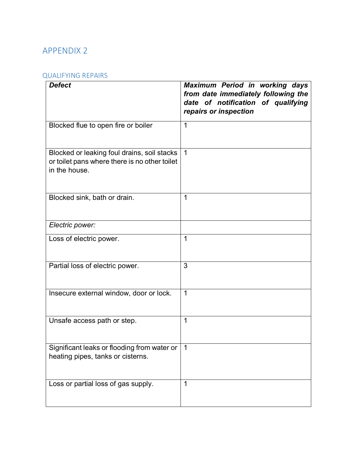# APPENDIX 2

#### <span id="page-16-0"></span>QUALIFYING REPAIRS

<span id="page-16-1"></span>

| <b>Defect</b>                                                                                                 | Maximum Period in working days<br>from date immediately following the<br>date of notification of qualifying<br>repairs or inspection |
|---------------------------------------------------------------------------------------------------------------|--------------------------------------------------------------------------------------------------------------------------------------|
| Blocked flue to open fire or boiler                                                                           | $\mathbf 1$                                                                                                                          |
| Blocked or leaking foul drains, soil stacks<br>or toilet pans where there is no other toilet<br>in the house. | $\mathbf 1$                                                                                                                          |
| Blocked sink, bath or drain.                                                                                  | 1                                                                                                                                    |
| Electric power:                                                                                               |                                                                                                                                      |
| Loss of electric power.                                                                                       | 1                                                                                                                                    |
| Partial loss of electric power.                                                                               | 3                                                                                                                                    |
| Insecure external window, door or lock.                                                                       | 1                                                                                                                                    |
| Unsafe access path or step.                                                                                   | 1                                                                                                                                    |
| Significant leaks or flooding from water or<br>heating pipes, tanks or cisterns.                              | 1                                                                                                                                    |
| Loss or partial loss of gas supply.                                                                           | 1                                                                                                                                    |